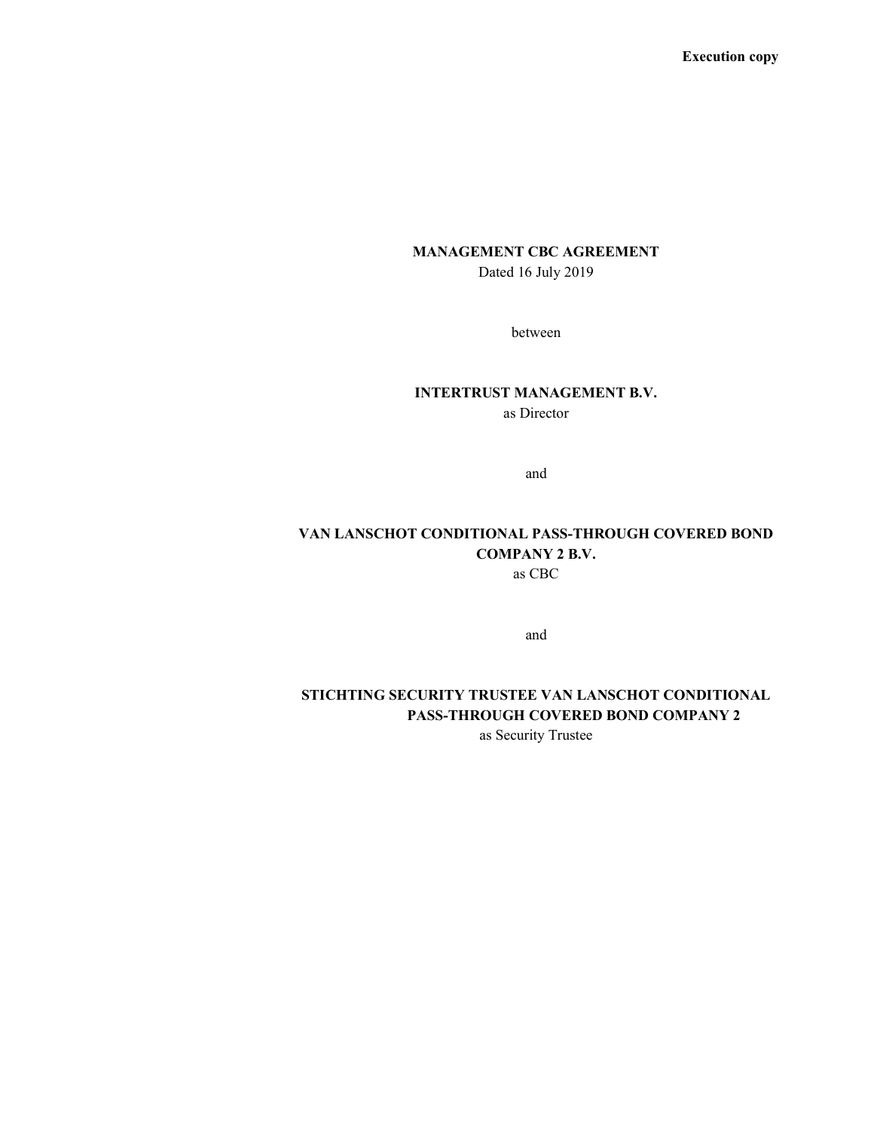Execution copy

# MANAGEMENT CBC AGREEMENT

Dated 16 July 2019

between

### INTERTRUST MANAGEMENT B.V.

as Director

and

# VAN LANSCHOT CONDITIONAL PASS-THROUGH COVERED BOND COMPANY 2 B.V. as CBC

and

# STICHTING SECURITY TRUSTEE VAN LANSCHOT CONDITIONAL PASS-THROUGH COVERED BOND COMPANY 2

as Security Trustee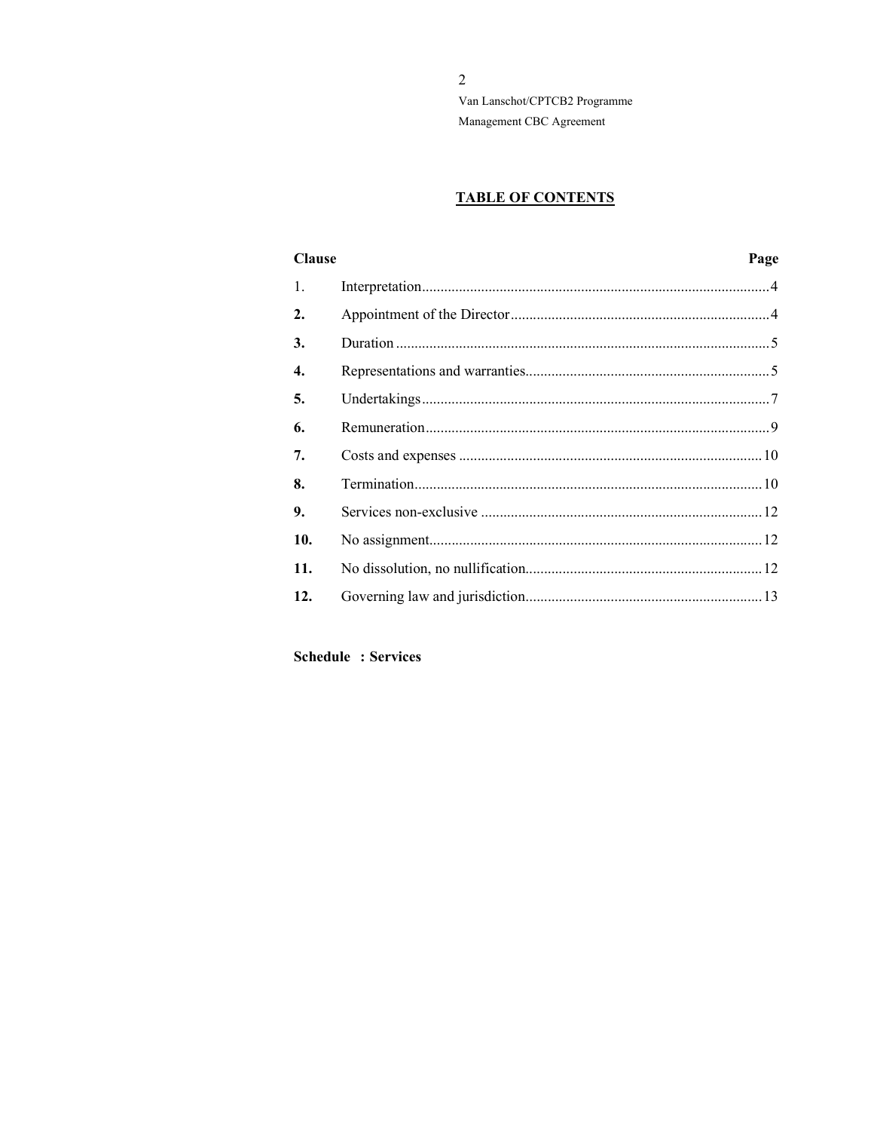$\overline{2}$ Van Lanschot/CPTCB2 Programme Management CBC Agreement

# **TABLE OF CONTENTS**

| <b>Clause</b> | Page |
|---------------|------|
| 1.            |      |
| 2.            |      |
| 3.            |      |
| 4.            |      |
| 5.            |      |
| 6.            |      |
| 7.            |      |
| 8.            |      |
| 9.            |      |
| 10.           |      |
| 11.           |      |
| 12.           |      |

**Schedule : Services**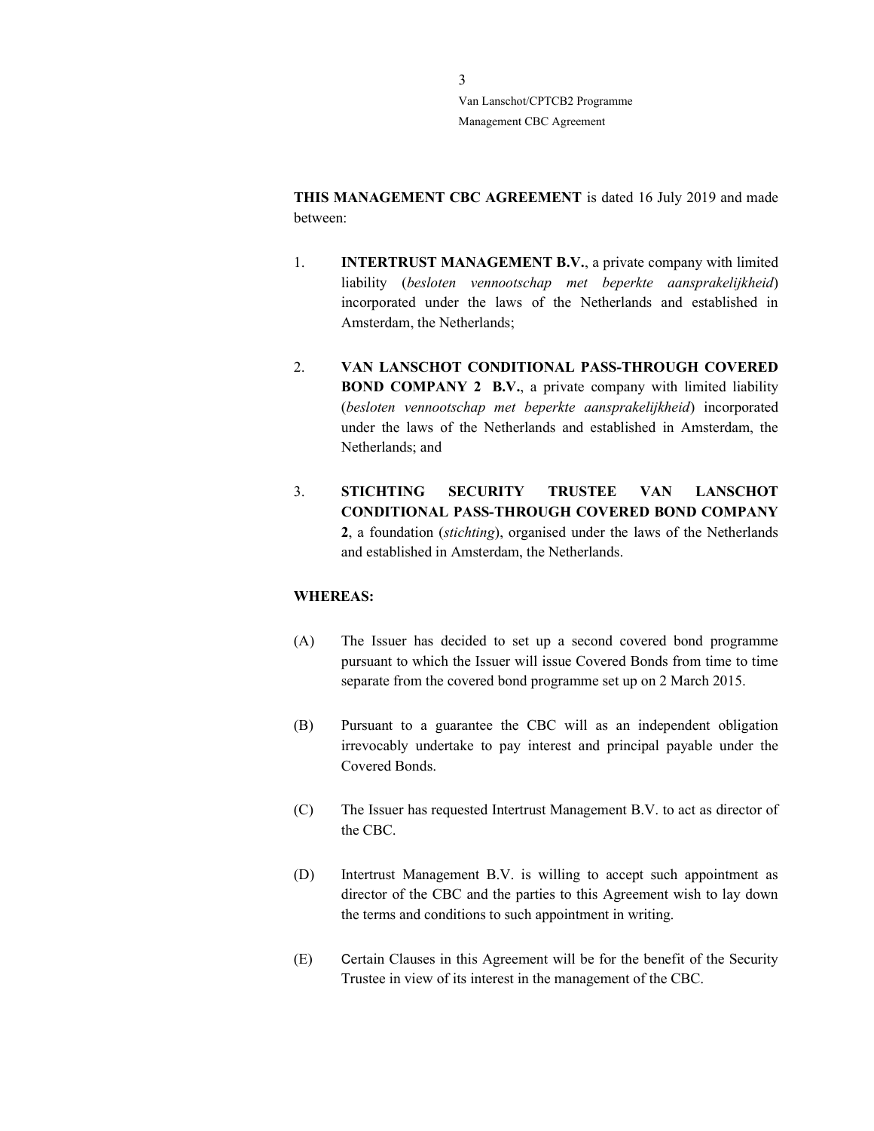THIS MANAGEMENT CBC AGREEMENT is dated 16 July 2019 and made between:

- 1. **INTERTRUST MANAGEMENT B.V.**, a private company with limited liability (besloten vennootschap met beperkte aansprakelijkheid) incorporated under the laws of the Netherlands and established in Amsterdam, the Netherlands;
- 2. VAN LANSCHOT CONDITIONAL PASS-THROUGH COVERED BOND COMPANY 2 B.V., a private company with limited liability (besloten vennootschap met beperkte aansprakelijkheid) incorporated under the laws of the Netherlands and established in Amsterdam, the Netherlands; and
- 3. STICHTING SECURITY TRUSTEE VAN LANSCHOT CONDITIONAL PASS-THROUGH COVERED BOND COMPANY 2, a foundation (stichting), organised under the laws of the Netherlands and established in Amsterdam, the Netherlands.

### WHEREAS:

- (A) The Issuer has decided to set up a second covered bond programme pursuant to which the Issuer will issue Covered Bonds from time to time separate from the covered bond programme set up on 2 March 2015.
- (B) Pursuant to a guarantee the CBC will as an independent obligation irrevocably undertake to pay interest and principal payable under the Covered Bonds.
- (C) The Issuer has requested Intertrust Management B.V. to act as director of the CBC.
- (D) Intertrust Management B.V. is willing to accept such appointment as director of the CBC and the parties to this Agreement wish to lay down the terms and conditions to such appointment in writing.
- (E) Certain Clauses in this Agreement will be for the benefit of the Security Trustee in view of its interest in the management of the CBC.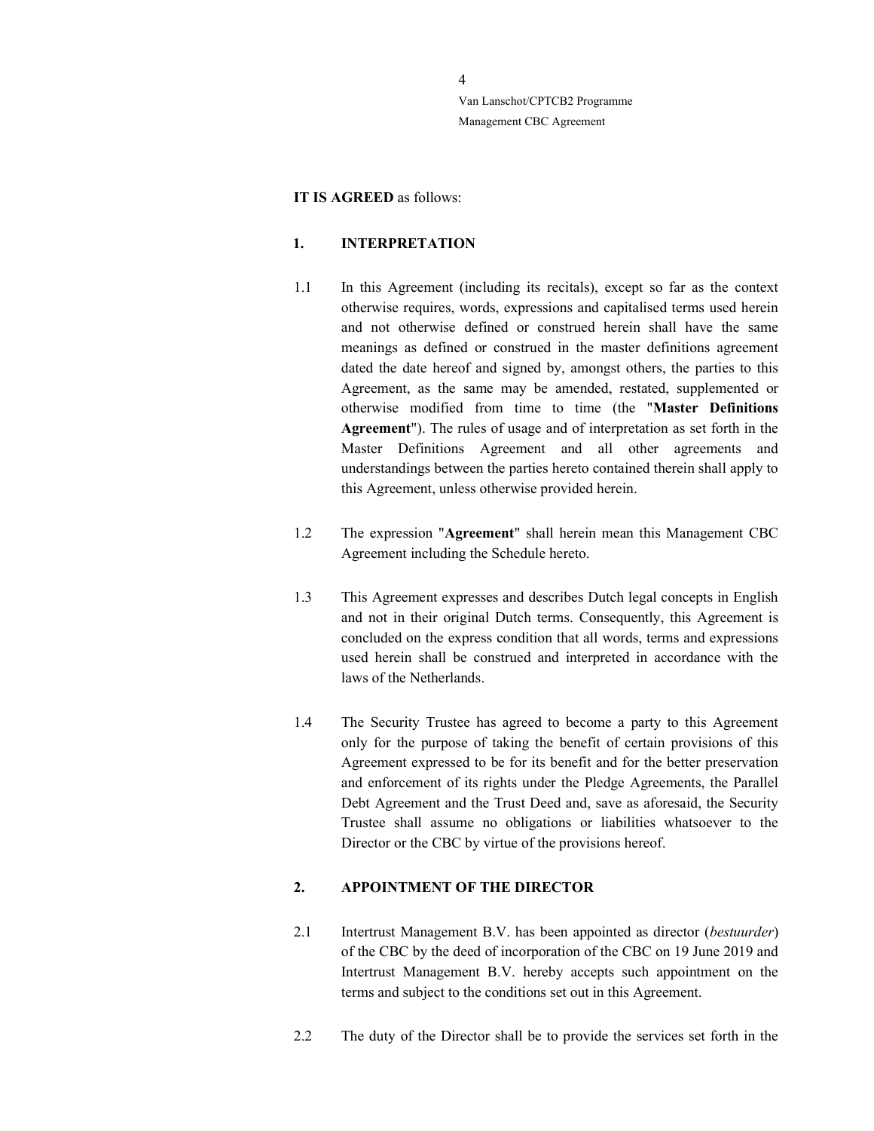#### IT IS AGREED as follows:

### 1. INTERPRETATION

- 1.1 In this Agreement (including its recitals), except so far as the context otherwise requires, words, expressions and capitalised terms used herein and not otherwise defined or construed herein shall have the same meanings as defined or construed in the master definitions agreement dated the date hereof and signed by, amongst others, the parties to this Agreement, as the same may be amended, restated, supplemented or otherwise modified from time to time (the "Master Definitions Agreement"). The rules of usage and of interpretation as set forth in the Master Definitions Agreement and all other agreements and understandings between the parties hereto contained therein shall apply to this Agreement, unless otherwise provided herein.
- 1.2 The expression "Agreement" shall herein mean this Management CBC Agreement including the Schedule hereto.
- 1.3 This Agreement expresses and describes Dutch legal concepts in English and not in their original Dutch terms. Consequently, this Agreement is concluded on the express condition that all words, terms and expressions used herein shall be construed and interpreted in accordance with the laws of the Netherlands.
- 1.4 The Security Trustee has agreed to become a party to this Agreement only for the purpose of taking the benefit of certain provisions of this Agreement expressed to be for its benefit and for the better preservation and enforcement of its rights under the Pledge Agreements, the Parallel Debt Agreement and the Trust Deed and, save as aforesaid, the Security Trustee shall assume no obligations or liabilities whatsoever to the Director or the CBC by virtue of the provisions hereof.

### 2. APPOINTMENT OF THE DIRECTOR

- 2.1 Intertrust Management B.V. has been appointed as director (*bestuurder*) of the CBC by the deed of incorporation of the CBC on 19 June 2019 and Intertrust Management B.V. hereby accepts such appointment on the terms and subject to the conditions set out in this Agreement.
- 2.2 The duty of the Director shall be to provide the services set forth in the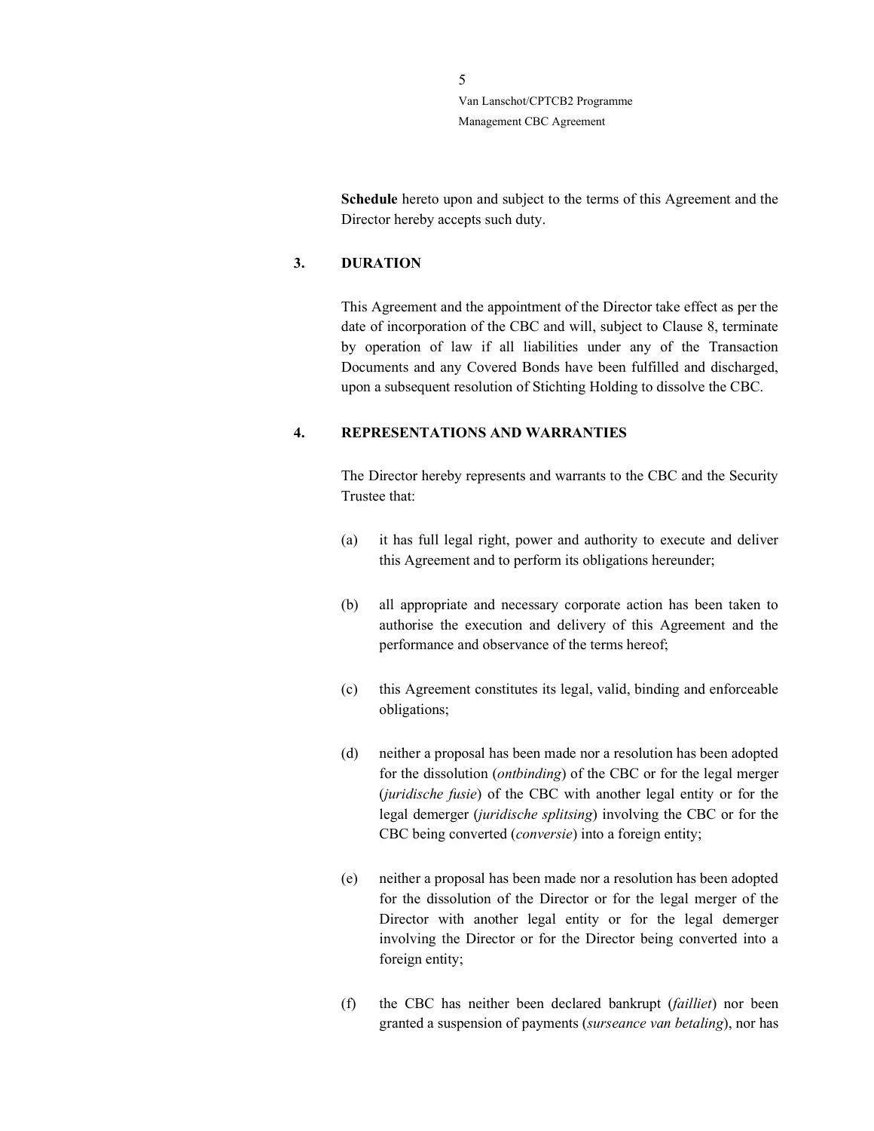> Schedule hereto upon and subject to the terms of this Agreement and the Director hereby accepts such duty.

### 3. DURATION

This Agreement and the appointment of the Director take effect as per the date of incorporation of the CBC and will, subject to Clause 8, terminate by operation of law if all liabilities under any of the Transaction Documents and any Covered Bonds have been fulfilled and discharged, upon a subsequent resolution of Stichting Holding to dissolve the CBC.

### 4. REPRESENTATIONS AND WARRANTIES

The Director hereby represents and warrants to the CBC and the Security Trustee that:

- (a) it has full legal right, power and authority to execute and deliver this Agreement and to perform its obligations hereunder;
- (b) all appropriate and necessary corporate action has been taken to authorise the execution and delivery of this Agreement and the performance and observance of the terms hereof;
- (c) this Agreement constitutes its legal, valid, binding and enforceable obligations;
- (d) neither a proposal has been made nor a resolution has been adopted for the dissolution (ontbinding) of the CBC or for the legal merger (juridische fusie) of the CBC with another legal entity or for the legal demerger (juridische splitsing) involving the CBC or for the CBC being converted (conversie) into a foreign entity;
- (e) neither a proposal has been made nor a resolution has been adopted for the dissolution of the Director or for the legal merger of the Director with another legal entity or for the legal demerger involving the Director or for the Director being converted into a foreign entity;
- (f) the CBC has neither been declared bankrupt (failliet) nor been granted a suspension of payments (surseance van betaling), nor has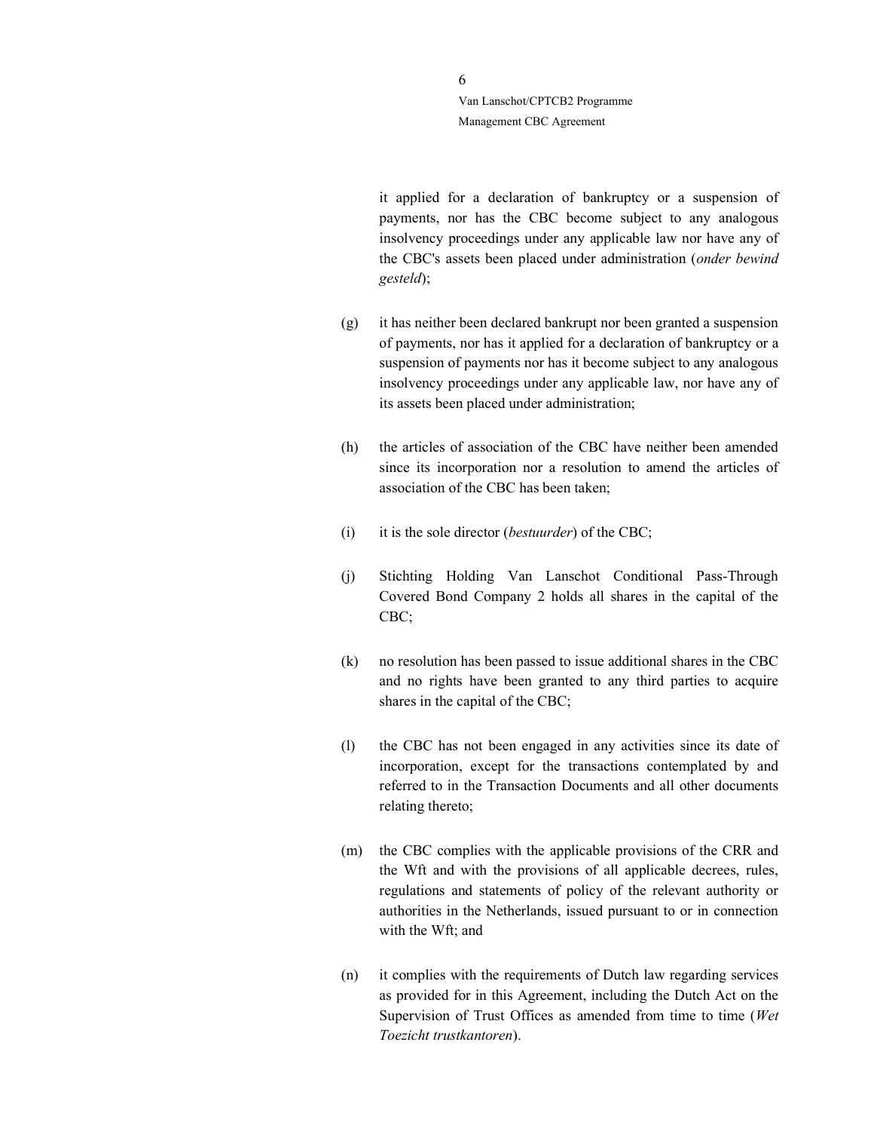> it applied for a declaration of bankruptcy or a suspension of payments, nor has the CBC become subject to any analogous insolvency proceedings under any applicable law nor have any of the CBC's assets been placed under administration (onder bewind gesteld);

- (g) it has neither been declared bankrupt nor been granted a suspension of payments, nor has it applied for a declaration of bankruptcy or a suspension of payments nor has it become subject to any analogous insolvency proceedings under any applicable law, nor have any of its assets been placed under administration;
- (h) the articles of association of the CBC have neither been amended since its incorporation nor a resolution to amend the articles of association of the CBC has been taken;
- (i) it is the sole director (*bestuurder*) of the CBC;
- (j) Stichting Holding Van Lanschot Conditional Pass-Through Covered Bond Company 2 holds all shares in the capital of the CBC;
- (k) no resolution has been passed to issue additional shares in the CBC and no rights have been granted to any third parties to acquire shares in the capital of the CBC;
- (l) the CBC has not been engaged in any activities since its date of incorporation, except for the transactions contemplated by and referred to in the Transaction Documents and all other documents relating thereto;
- (m) the CBC complies with the applicable provisions of the CRR and the Wft and with the provisions of all applicable decrees, rules, regulations and statements of policy of the relevant authority or authorities in the Netherlands, issued pursuant to or in connection with the Wft; and
- (n) it complies with the requirements of Dutch law regarding services as provided for in this Agreement, including the Dutch Act on the Supervision of Trust Offices as amended from time to time (Wet Toezicht trustkantoren).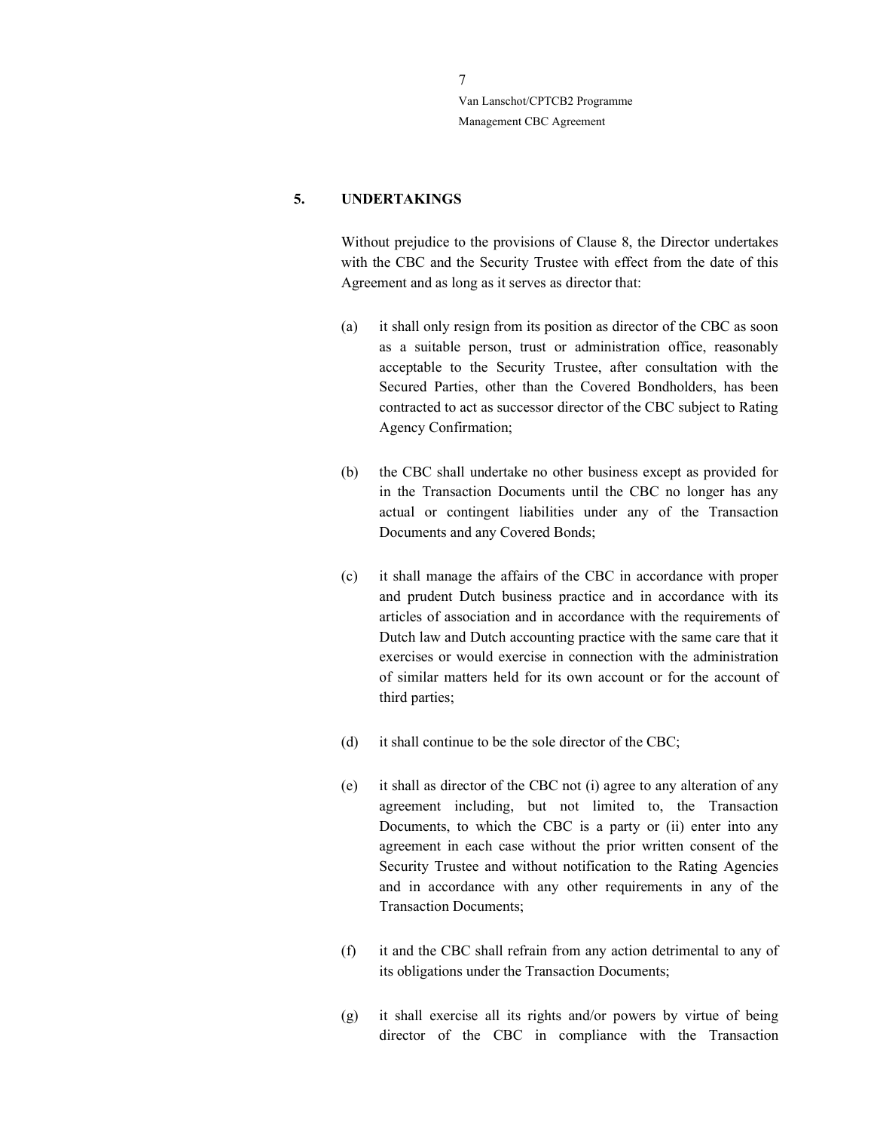### 5. UNDERTAKINGS

Without prejudice to the provisions of Clause 8, the Director undertakes with the CBC and the Security Trustee with effect from the date of this Agreement and as long as it serves as director that:

- (a) it shall only resign from its position as director of the CBC as soon as a suitable person, trust or administration office, reasonably acceptable to the Security Trustee, after consultation with the Secured Parties, other than the Covered Bondholders, has been contracted to act as successor director of the CBC subject to Rating Agency Confirmation;
- (b) the CBC shall undertake no other business except as provided for in the Transaction Documents until the CBC no longer has any actual or contingent liabilities under any of the Transaction Documents and any Covered Bonds;
- (c) it shall manage the affairs of the CBC in accordance with proper and prudent Dutch business practice and in accordance with its articles of association and in accordance with the requirements of Dutch law and Dutch accounting practice with the same care that it exercises or would exercise in connection with the administration of similar matters held for its own account or for the account of third parties;
- (d) it shall continue to be the sole director of the CBC;
- (e) it shall as director of the CBC not (i) agree to any alteration of any agreement including, but not limited to, the Transaction Documents, to which the CBC is a party or (ii) enter into any agreement in each case without the prior written consent of the Security Trustee and without notification to the Rating Agencies and in accordance with any other requirements in any of the Transaction Documents;
- (f) it and the CBC shall refrain from any action detrimental to any of its obligations under the Transaction Documents;
- (g) it shall exercise all its rights and/or powers by virtue of being director of the CBC in compliance with the Transaction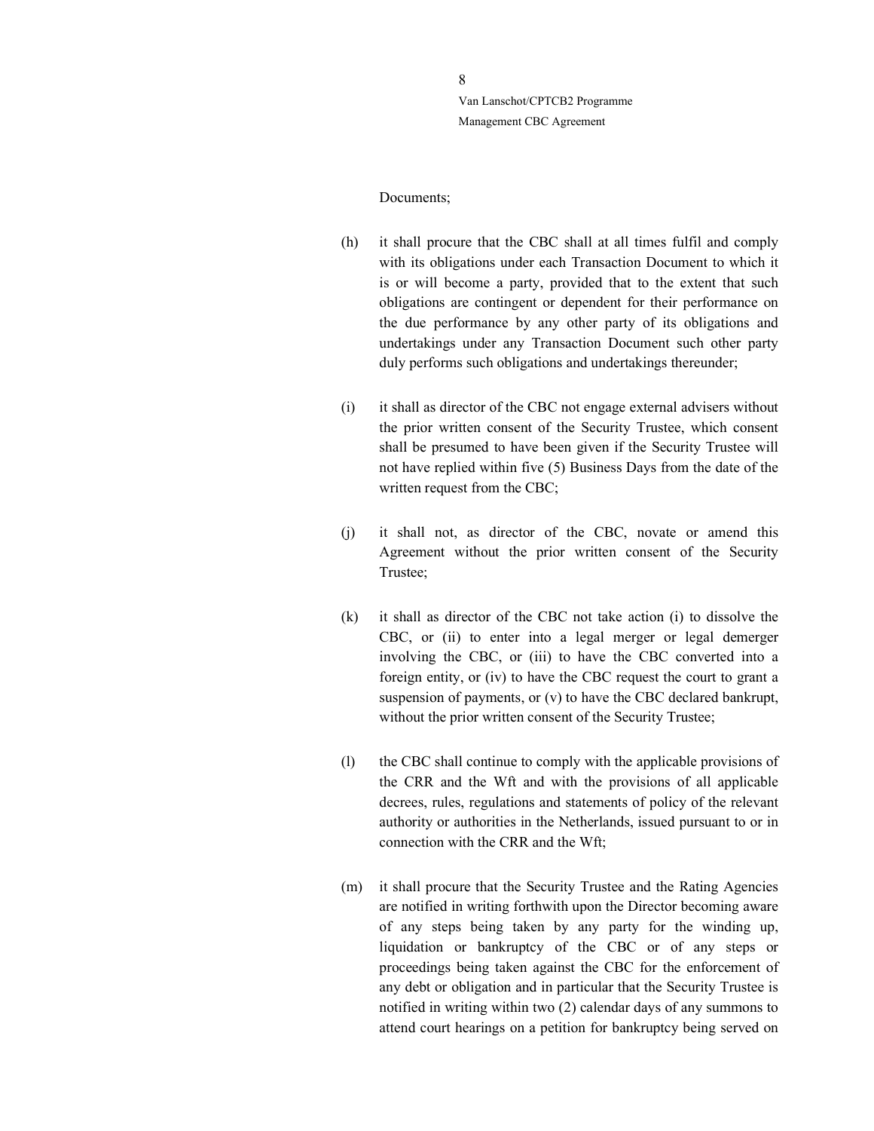#### Documents;

- (h) it shall procure that the CBC shall at all times fulfil and comply with its obligations under each Transaction Document to which it is or will become a party, provided that to the extent that such obligations are contingent or dependent for their performance on the due performance by any other party of its obligations and undertakings under any Transaction Document such other party duly performs such obligations and undertakings thereunder;
- (i) it shall as director of the CBC not engage external advisers without the prior written consent of the Security Trustee, which consent shall be presumed to have been given if the Security Trustee will not have replied within five (5) Business Days from the date of the written request from the CBC;
- (j) it shall not, as director of the CBC, novate or amend this Agreement without the prior written consent of the Security Trustee;
- (k) it shall as director of the CBC not take action (i) to dissolve the CBC, or (ii) to enter into a legal merger or legal demerger involving the CBC, or (iii) to have the CBC converted into a foreign entity, or (iv) to have the CBC request the court to grant a suspension of payments, or (v) to have the CBC declared bankrupt, without the prior written consent of the Security Trustee;
- (l) the CBC shall continue to comply with the applicable provisions of the CRR and the Wft and with the provisions of all applicable decrees, rules, regulations and statements of policy of the relevant authority or authorities in the Netherlands, issued pursuant to or in connection with the CRR and the Wft;
- (m) it shall procure that the Security Trustee and the Rating Agencies are notified in writing forthwith upon the Director becoming aware of any steps being taken by any party for the winding up, liquidation or bankruptcy of the CBC or of any steps or proceedings being taken against the CBC for the enforcement of any debt or obligation and in particular that the Security Trustee is notified in writing within two (2) calendar days of any summons to attend court hearings on a petition for bankruptcy being served on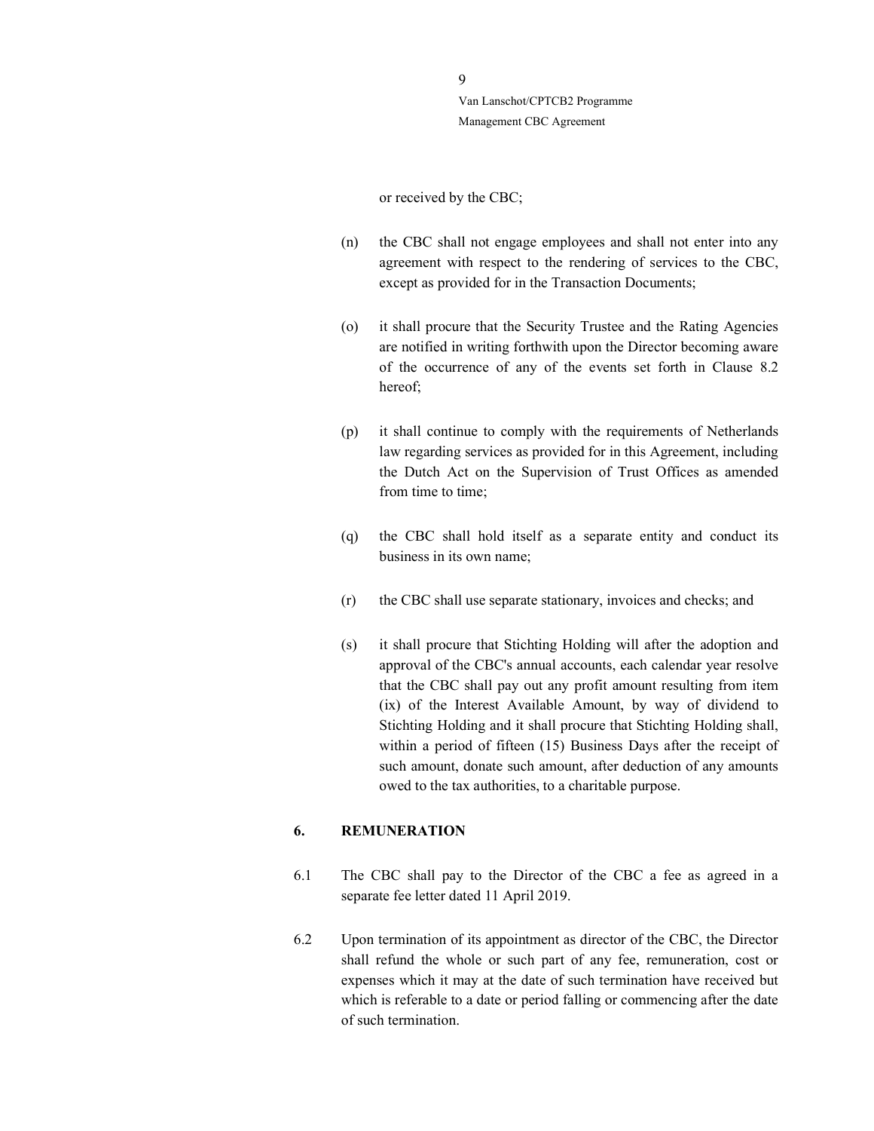#### or received by the CBC;

- (n) the CBC shall not engage employees and shall not enter into any agreement with respect to the rendering of services to the CBC, except as provided for in the Transaction Documents;
- (o) it shall procure that the Security Trustee and the Rating Agencies are notified in writing forthwith upon the Director becoming aware of the occurrence of any of the events set forth in Clause 8.2 hereof;
- (p) it shall continue to comply with the requirements of Netherlands law regarding services as provided for in this Agreement, including the Dutch Act on the Supervision of Trust Offices as amended from time to time:
- (q) the CBC shall hold itself as a separate entity and conduct its business in its own name;
- (r) the CBC shall use separate stationary, invoices and checks; and
- (s) it shall procure that Stichting Holding will after the adoption and approval of the CBC's annual accounts, each calendar year resolve that the CBC shall pay out any profit amount resulting from item (ix) of the Interest Available Amount, by way of dividend to Stichting Holding and it shall procure that Stichting Holding shall, within a period of fifteen (15) Business Days after the receipt of such amount, donate such amount, after deduction of any amounts owed to the tax authorities, to a charitable purpose.

#### 6. REMUNERATION

- 6.1 The CBC shall pay to the Director of the CBC a fee as agreed in a separate fee letter dated 11 April 2019.
- 6.2 Upon termination of its appointment as director of the CBC, the Director shall refund the whole or such part of any fee, remuneration, cost or expenses which it may at the date of such termination have received but which is referable to a date or period falling or commencing after the date of such termination.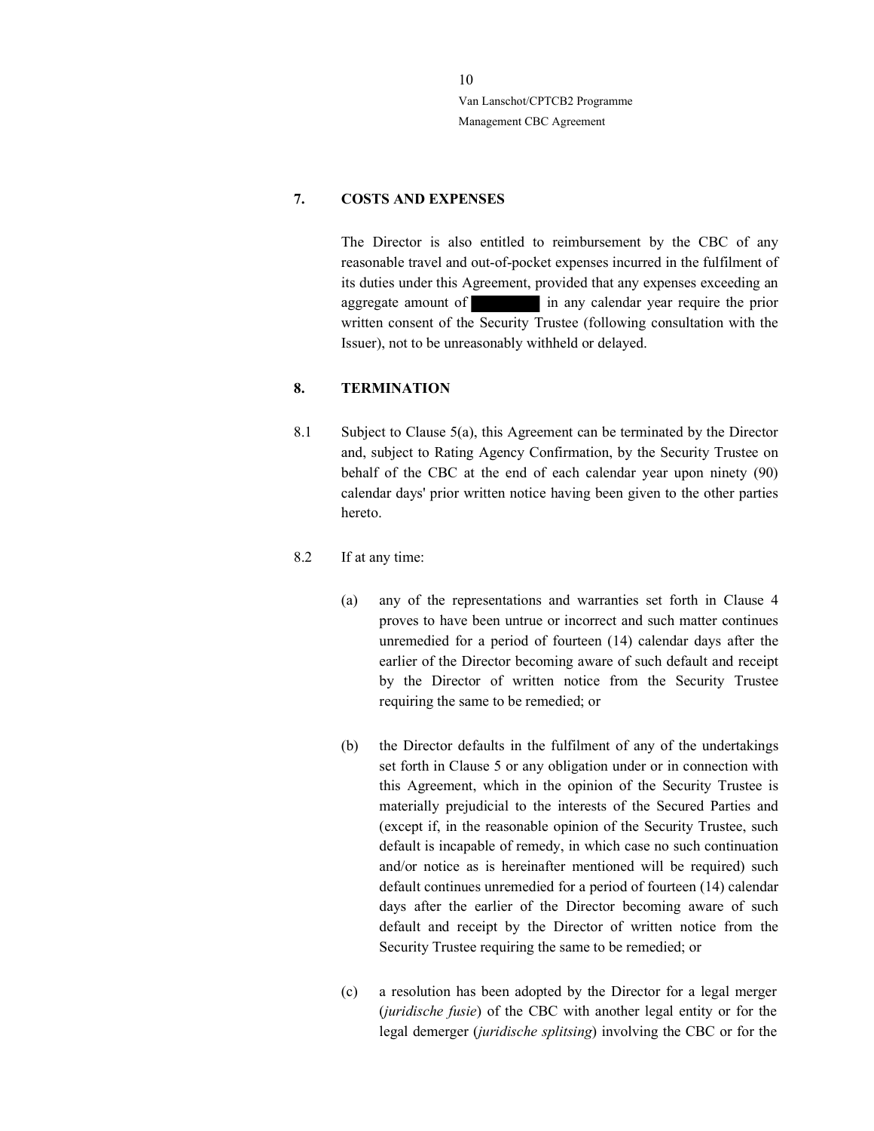### 7. COSTS AND EXPENSES

The Director is also entitled to reimbursement by the CBC of any reasonable travel and out-of-pocket expenses incurred in the fulfilment of its duties under this Agreement, provided that any expenses exceeding an aggregate amount of **in any calendar year require the prior** written consent of the Security Trustee (following consultation with the Issuer), not to be unreasonably withheld or delayed.

### 8. TERMINATION

- 8.1 Subject to Clause 5(a), this Agreement can be terminated by the Director and, subject to Rating Agency Confirmation, by the Security Trustee on behalf of the CBC at the end of each calendar year upon ninety (90) calendar days' prior written notice having been given to the other parties hereto.
- 8.2 If at any time:
	- (a) any of the representations and warranties set forth in Clause 4 proves to have been untrue or incorrect and such matter continues unremedied for a period of fourteen (14) calendar days after the earlier of the Director becoming aware of such default and receipt by the Director of written notice from the Security Trustee requiring the same to be remedied; or
	- (b) the Director defaults in the fulfilment of any of the undertakings set forth in Clause 5 or any obligation under or in connection with this Agreement, which in the opinion of the Security Trustee is materially prejudicial to the interests of the Secured Parties and (except if, in the reasonable opinion of the Security Trustee, such default is incapable of remedy, in which case no such continuation and/or notice as is hereinafter mentioned will be required) such default continues unremedied for a period of fourteen (14) calendar days after the earlier of the Director becoming aware of such default and receipt by the Director of written notice from the Security Trustee requiring the same to be remedied; or
	- (c) a resolution has been adopted by the Director for a legal merger (juridische fusie) of the CBC with another legal entity or for the legal demerger (juridische splitsing) involving the CBC or for the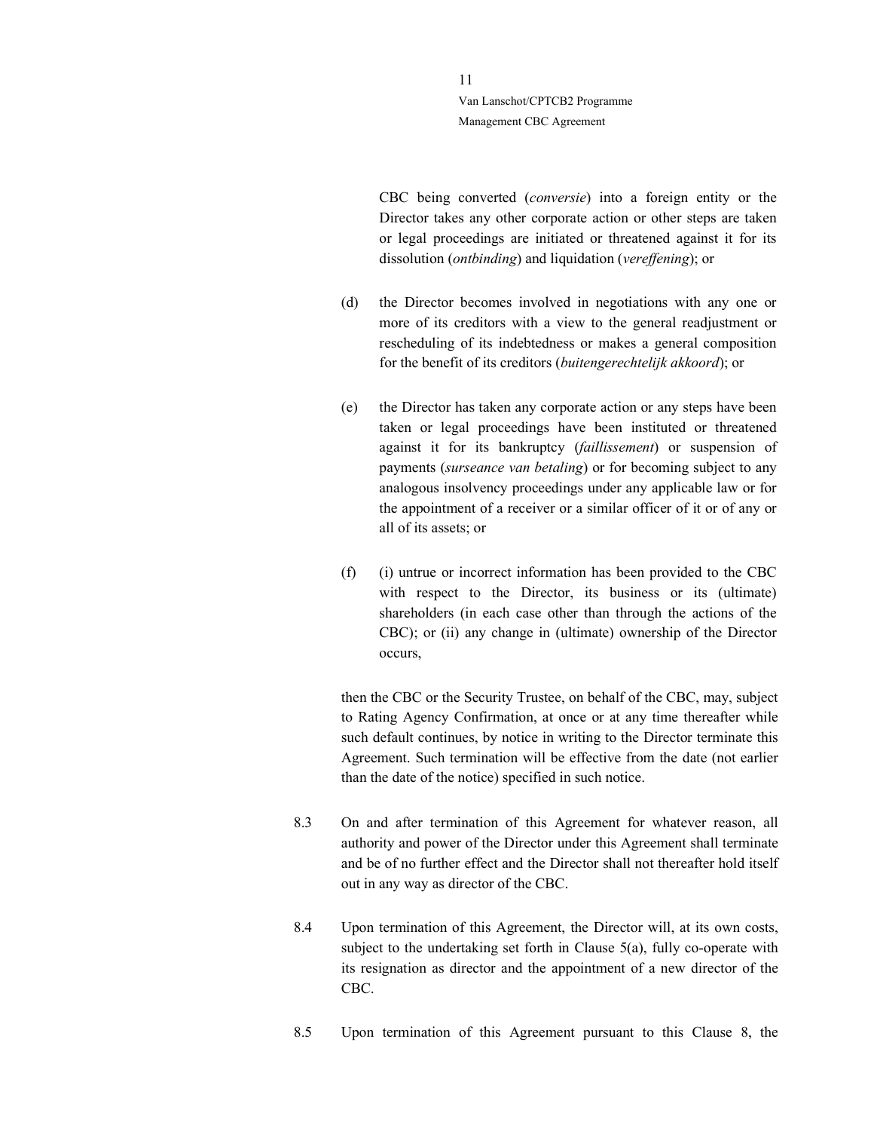> CBC being converted (conversie) into a foreign entity or the Director takes any other corporate action or other steps are taken or legal proceedings are initiated or threatened against it for its dissolution (ontbinding) and liquidation (vereffening); or

- (d) the Director becomes involved in negotiations with any one or more of its creditors with a view to the general readjustment or rescheduling of its indebtedness or makes a general composition for the benefit of its creditors (buitengerechtelijk akkoord); or
- (e) the Director has taken any corporate action or any steps have been taken or legal proceedings have been instituted or threatened against it for its bankruptcy (faillissement) or suspension of payments (surseance van betaling) or for becoming subject to any analogous insolvency proceedings under any applicable law or for the appointment of a receiver or a similar officer of it or of any or all of its assets; or
- (f) (i) untrue or incorrect information has been provided to the CBC with respect to the Director, its business or its (ultimate) shareholders (in each case other than through the actions of the CBC); or (ii) any change in (ultimate) ownership of the Director occurs,

then the CBC or the Security Trustee, on behalf of the CBC, may, subject to Rating Agency Confirmation, at once or at any time thereafter while such default continues, by notice in writing to the Director terminate this Agreement. Such termination will be effective from the date (not earlier than the date of the notice) specified in such notice.

- 8.3 On and after termination of this Agreement for whatever reason, all authority and power of the Director under this Agreement shall terminate and be of no further effect and the Director shall not thereafter hold itself out in any way as director of the CBC.
- 8.4 Upon termination of this Agreement, the Director will, at its own costs, subject to the undertaking set forth in Clause 5(a), fully co-operate with its resignation as director and the appointment of a new director of the CBC.
- 8.5 Upon termination of this Agreement pursuant to this Clause 8, the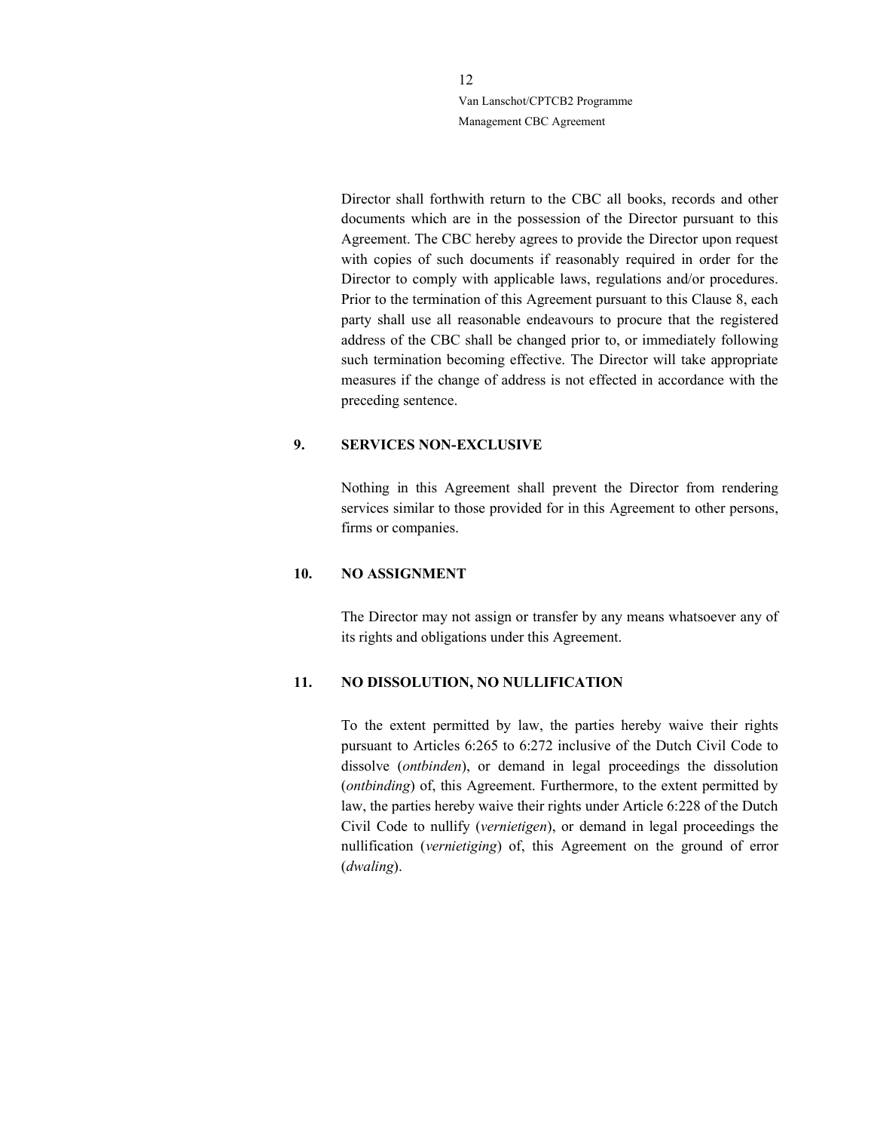> Director shall forthwith return to the CBC all books, records and other documents which are in the possession of the Director pursuant to this Agreement. The CBC hereby agrees to provide the Director upon request with copies of such documents if reasonably required in order for the Director to comply with applicable laws, regulations and/or procedures. Prior to the termination of this Agreement pursuant to this Clause 8, each party shall use all reasonable endeavours to procure that the registered address of the CBC shall be changed prior to, or immediately following such termination becoming effective. The Director will take appropriate measures if the change of address is not effected in accordance with the preceding sentence.

### 9. SERVICES NON-EXCLUSIVE

 Nothing in this Agreement shall prevent the Director from rendering services similar to those provided for in this Agreement to other persons, firms or companies.

#### 10. NO ASSIGNMENT

The Director may not assign or transfer by any means whatsoever any of its rights and obligations under this Agreement.

#### 11. NO DISSOLUTION, NO NULLIFICATION

To the extent permitted by law, the parties hereby waive their rights pursuant to Articles 6:265 to 6:272 inclusive of the Dutch Civil Code to dissolve (ontbinden), or demand in legal proceedings the dissolution (ontbinding) of, this Agreement. Furthermore, to the extent permitted by law, the parties hereby waive their rights under Article 6:228 of the Dutch Civil Code to nullify (vernietigen), or demand in legal proceedings the nullification (vernietiging) of, this Agreement on the ground of error (dwaling).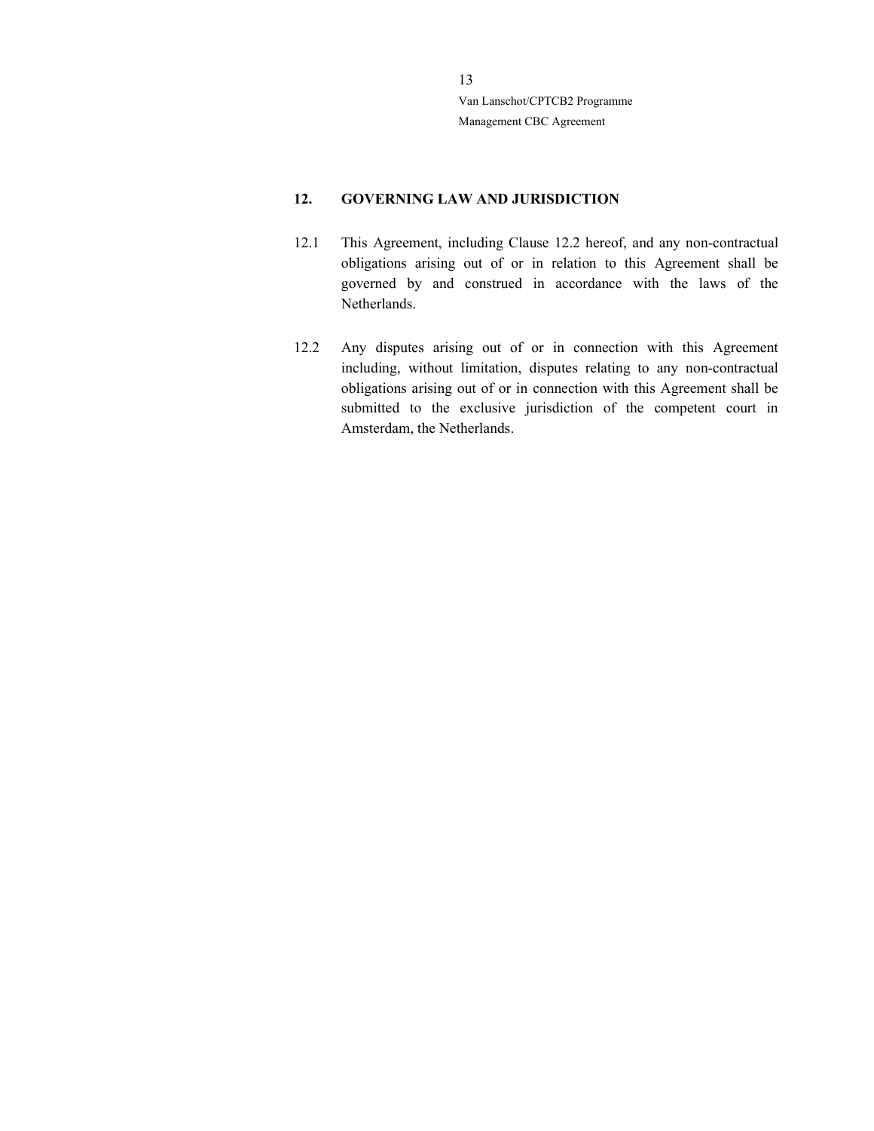### 12. GOVERNING LAW AND JURISDICTION

- 12.1 This Agreement, including Clause 12.2 hereof, and any non-contractual obligations arising out of or in relation to this Agreement shall be governed by and construed in accordance with the laws of the Netherlands.
- 12.2 Any disputes arising out of or in connection with this Agreement including, without limitation, disputes relating to any non-contractual obligations arising out of or in connection with this Agreement shall be submitted to the exclusive jurisdiction of the competent court in Amsterdam, the Netherlands.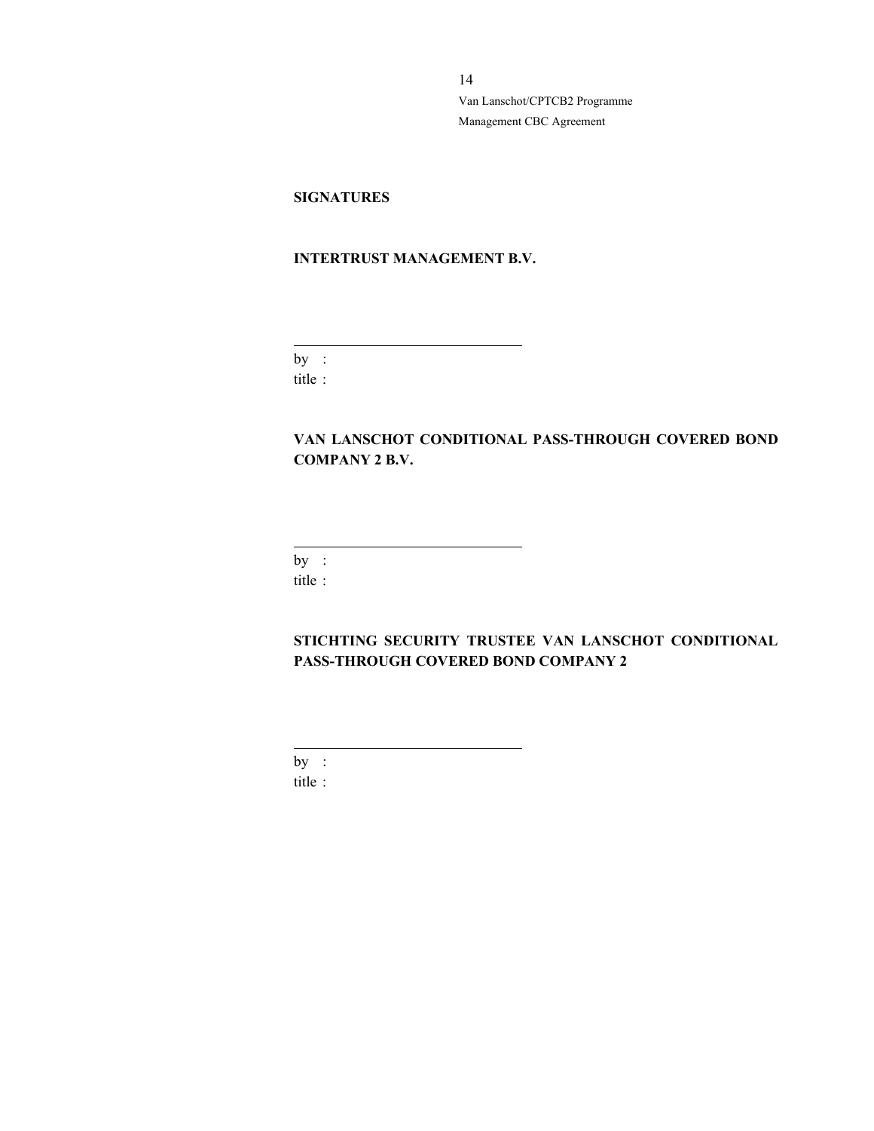## **SIGNATURES**

### INTERTRUST MANAGEMENT B.V.

by : title :

 $\overline{a}$ 

VAN LANSCHOT CONDITIONAL PASS-THROUGH COVERED BOND COMPANY 2 B.V.

by :

 $\overline{a}$ 

title :

STICHTING SECURITY TRUSTEE VAN LANSCHOT CONDITIONAL PASS-THROUGH COVERED BOND COMPANY 2

by :

 $\overline{a}$ 

title :